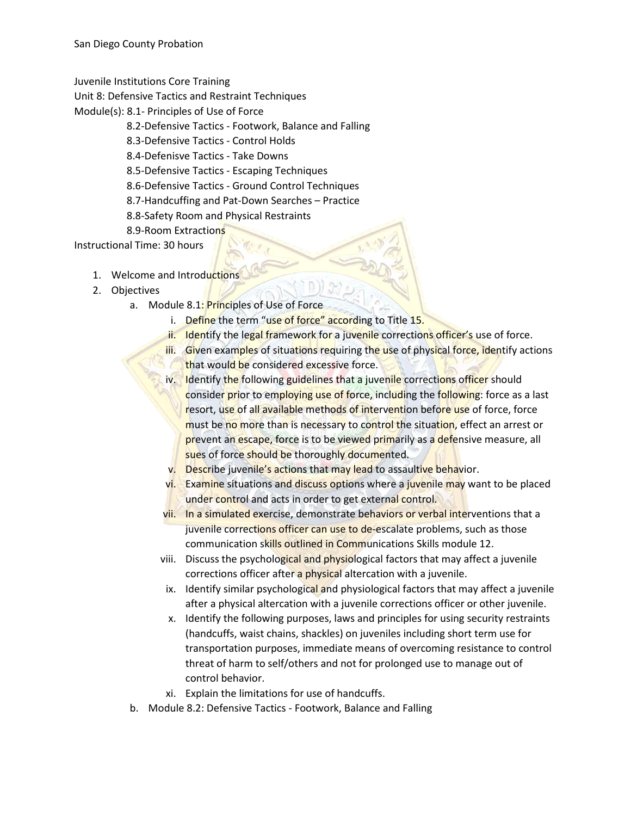Juvenile Institutions Core Training

Unit 8: Defensive Tactics and Restraint Techniques

Module(s): 8.1- Principles of Use of Force

- 8.2-Defensive Tactics Footwork, Balance and Falling
- 8.3-Defensive Tactics Control Holds

8.4-Defenisve Tactics - Take Downs

8.5-Defensive Tactics - Escaping Techniques

8.6-Defensive Tactics - Ground Control Techniques

8.7-Handcuffing and Pat-Down Searches – Practice

- 8.8-Safety Room and Physical Restraints
- 8.9-Room Extractions

Instructional Time: 30 hours

- 1. Welcome and Introductions
- 2. Objectives
	- a. Module 8.1: Principles of Use of Force
		- i. Define the term "use of force" according to Title 15.
		- ii. Identify the legal framework for a juvenile corrections officer's use of force.
		- iii. Given examples of situations requiring the use of physical force, identify actions that would be considered excessive force.
		- iv. Identify the following guidelines that a juvenile corrections officer should consider prior to employing use of force, including the following: force as a last resort, use of all available methods of intervention before use of force, force must be no more than is necessary to control the situation, effect an arrest or prevent an escape, force is to be viewed primarily as a defensive measure, all sues of force should be thoroughly documented.
		- v. Describe juvenile's actions that may lead to assaultive behavior.
		- vi. Examine situations and discuss options where a juvenile may want to be placed under control and acts in order to get external control.
		- vii. In a simulated exercise, demonstrate behaviors or verbal interventions that a juvenile corrections officer can use to de-escalate problems, such as those communication skills outlined in Communications Skills module 12.
		- viii. Discuss the psychological and physiological factors that may affect a juvenile corrections officer after a physical altercation with a juvenile.
		- ix. Identify similar psychological and physiological factors that may affect a juvenile after a physical altercation with a juvenile corrections officer or other juvenile.
		- x. Identify the following purposes, laws and principles for using security restraints (handcuffs, waist chains, shackles) on juveniles including short term use for transportation purposes, immediate means of overcoming resistance to control threat of harm to self/others and not for prolonged use to manage out of control behavior.
		- xi. Explain the limitations for use of handcuffs.
	- b. Module 8.2: Defensive Tactics Footwork, Balance and Falling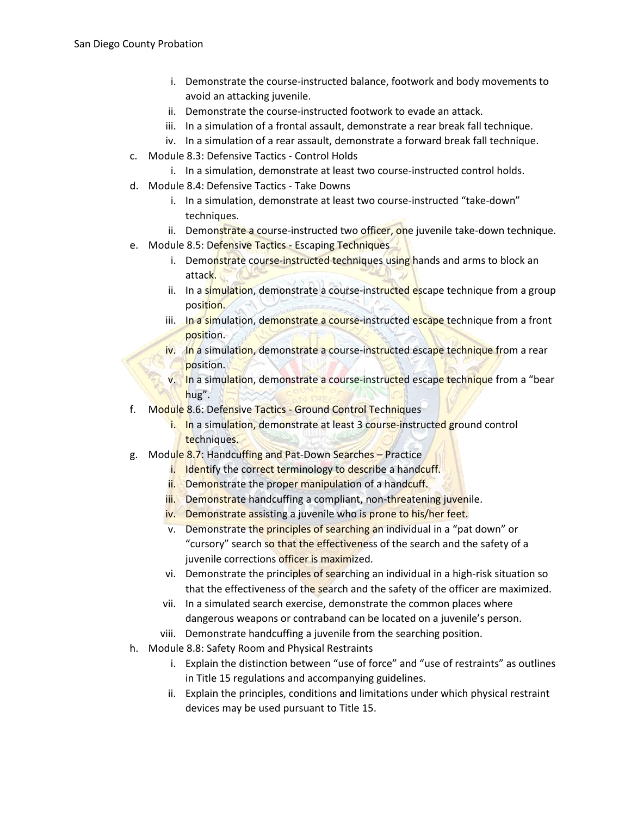- i. Demonstrate the course-instructed balance, footwork and body movements to avoid an attacking juvenile.
- ii. Demonstrate the course-instructed footwork to evade an attack.
- iii. In a simulation of a frontal assault, demonstrate a rear break fall technique.
- iv. In a simulation of a rear assault, demonstrate a forward break fall technique.
- c. Module 8.3: Defensive Tactics Control Holds
	- i. In a simulation, demonstrate at least two course-instructed control holds.
- d. Module 8.4: Defensive Tactics Take Downs
	- i. In a simulation, demonstrate at least two course-instructed "take-down" techniques.
	- ii. Demonstrate a course-instructed two officer, one juvenile take-down technique.
- e. Module 8.5: Defensive Tactics Escaping Techniques
	- i. Demonstrate course-instructed techniques using hands and arms to block an attack.
	- ii. In a simulation, demonstrate a course-instructed escape technique from a group position.
	- iii. In a simulation, demonstrate a course-instructed escape technique from a front position.
	- iv. In a simulation, demonstrate a course-instructed escape technique from a rear position.
	- v. In a simulation, demonstrate a course-instructed escape technique from a "bear hug".
- f. Module 8.6: Defensive Tactics Ground Control Techniques
	- i. In a simulation, demonstrate at least 3 course-instructed ground control techniques.
- g. Module 8.7: Handcuffing and Pat-Down Searches Practice
	- i. Identify the correct terminology to describe a handcuff.
	- ii. Demonstrate the proper manipulation of a handcuff.
	- iii. Demonstrate handcuffing a compliant, non-threatening juvenile.
	- iv. Demonstrate assisting a juvenile who is prone to his/her feet.
	- v. Demonstrate the principles of searching an individual in a "pat down" or "cursory" search so that the effectiveness of the search and the safety of a juvenile corrections officer is maximized.
	- vi. Demonstrate the principles of searching an individual in a high-risk situation so that the effectiveness of the search and the safety of the officer are maximized.
	- vii. In a simulated search exercise, demonstrate the common places where dangerous weapons or contraband can be located on a juvenile's person.
	- viii. Demonstrate handcuffing a juvenile from the searching position.
- h. Module 8.8: Safety Room and Physical Restraints
	- i. Explain the distinction between "use of force" and "use of restraints" as outlines in Title 15 regulations and accompanying guidelines.
	- ii. Explain the principles, conditions and limitations under which physical restraint devices may be used pursuant to Title 15.